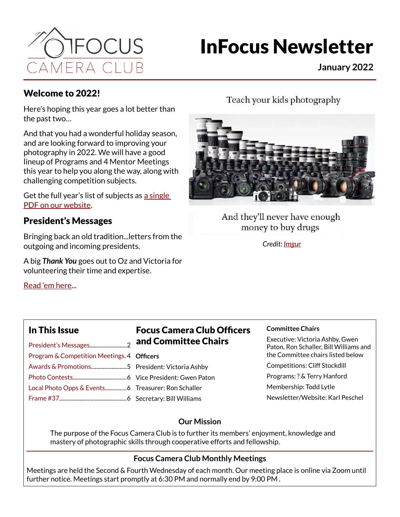

# InFocus Newsletter

**January 2022**

#### Welcome to 2022!

Here's hoping this year goes a lot better than the past two…

And that you had a wonderful holiday season, and are looking forward to improving your photography in 2022. We will have a good lineup of Programs and 4 Mentor Meetings this year to help you along the way, along with challenging competition subjects.

Get the full year's list of subjects as [a single](https://focuscolorado.com/wp-content/uploads/2021/12/FCC-2022Comp-List.pdf)  [PDF on our website](https://focuscolorado.com/wp-content/uploads/2021/12/FCC-2022Comp-List.pdf).

#### President's Messages

Bringing back an old tradition...letters from the outgoing and incoming presidents.

A big *Thank You* goes out to Oz and Victoria for volunteering their time and expertise.

[Read 'em here.](#page-1-0)..

Teach your kids photography



And they'll never have enough money to buy drugs

*Credit: [Imgur](https://imgur.com/gallery/C2OYpWV)*

#### In This Issue

| Program & Competition Meetings. 4 |  |
|-----------------------------------|--|
|                                   |  |
|                                   |  |
|                                   |  |
|                                   |  |

#### Focus Camera Club Officers and Committee Chairs

- **Officers**
	- President: Victoria Ashby Vice President: Gwen Paton
	- Treasurer: Ron Schaller

Secretary: Bill Williams

#### **Committee Chairs**

Executive: Victoria Ashby, Gwen Paton, Ron Schaller, Bill Williams and the Committee chairs listed below

Competitions: Cliff Stockdill

Programs: ? & Terry Hanford

Membership: Todd Lytle

Newsletter/Website: Karl Peschel

#### **Our Mission**

The purpose of the Focus Camera Club is to further its members' enjoyment, knowledge and mastery of photographic skills through cooperative efforts and fellowship.

#### **Focus Camera Club Monthly Meetings**

Meetings are held the Second & Fourth Wednesday of each month. Our meeting place is online via Zoom until further notice. Meetings start promptly at 6:30 PM and normally end by 9:00 PM .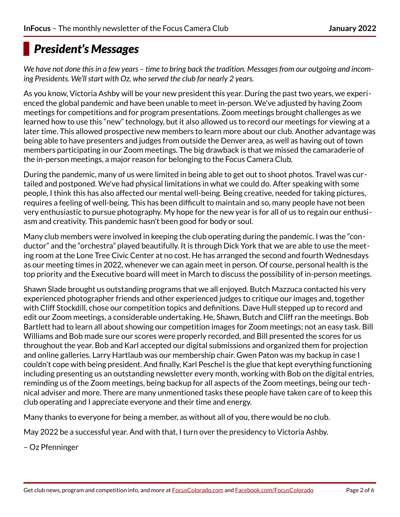## <span id="page-1-0"></span>*President's Messages*

*We have not done this in a few years – time to bring back the tradition. Messages from our outgoing and incoming Presidents. We'll start with Oz, who served the club for nearly 2 years.*

As you know, Victoria Ashby will be your new president this year. During the past two years, we experienced the global pandemic and have been unable to meet in-person. We've adjusted by having Zoom meetings for competitions and for program presentations. Zoom meetings brought challenges as we learned how to use this "new" technology, but it also allowed us to record our meetings for viewing at a later time. This allowed prospective new members to learn more about our club. Another advantage was being able to have presenters and judges from outside the Denver area, as well as having out of town members participating in our Zoom meetings. The big drawback is that we missed the camaraderie of the in-person meetings, a major reason for belonging to the Focus Camera Club.

During the pandemic, many of us were limited in being able to get out to shoot photos. Travel was curtailed and postponed. We've had physical limitations in what we could do. After speaking with some people, I think this has also affected our mental well-being. Being creative, needed for taking pictures, requires a feeling of well-being. This has been difficult to maintain and so, many people have not been very enthusiastic to pursue photography. My hope for the new year is for all of us to regain our enthusiasm and creativity. This pandemic hasn't been good for body or soul.

Many club members were involved in keeping the club operating during the pandemic. I was the "conductor" and the "orchestra" played beautifully. It is through Dick York that we are able to use the meeting room at the Lone Tree Civic Center at no cost. He has arranged the second and fourth Wednesdays as our meeting times in 2022, whenever we can again meet in person. Of course, personal health is the top priority and the Executive board will meet in March to discuss the possibility of in-person meetings.

Shawn Slade brought us outstanding programs that we all enjoyed. Butch Mazzuca contacted his very experienced photographer friends and other experienced judges to critique our images and, together with Cliff Stockdill, chose our competition topics and definitions. Dave Hull stepped up to record and edit our Zoom meetings, a considerable undertaking. He, Shawn, Butch and Cliff ran the meetings. Bob Bartlett had to learn all about showing our competition images for Zoom meetings; not an easy task. Bill Williams and Bob made sure our scores were properly recorded, and Bill presented the scores for us throughout the year. Bob and Karl accepted our digital submissions and organized them for projection and online galleries. Larry Hartlaub was our membership chair. Gwen Paton was my backup in case I couldn't cope with being president. And finally, Karl Peschel is the glue that kept everything functioning including presenting us an outstanding newsletter every month, working with Bob on the digital entries, reminding us of the Zoom meetings, being backup for all aspects of the Zoom meetings, being our technical adviser and more. There are many unmentioned tasks these people have taken care of to keep this club operating and I appreciate everyone and their time and energy.

Many thanks to everyone for being a member, as without all of you, there would be no club.

May 2022 be a successful year. And with that, I turn over the presidency to Victoria Ashby.

– Oz Pfenninger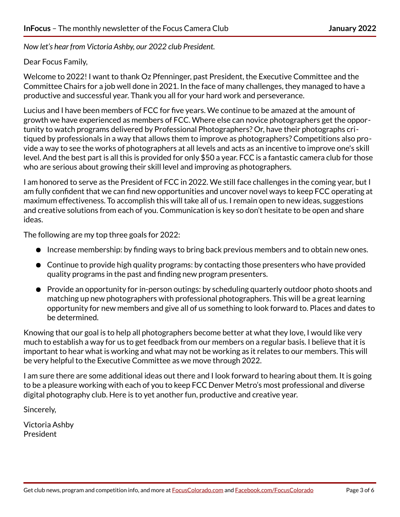*Now let's hear from Victoria Ashby, our 2022 club President.*

#### Dear Focus Family,

Welcome to 2022! I want to thank Oz Pfenninger, past President, the Executive Committee and the Committee Chairs for a job well done in 2021. In the face of many challenges, they managed to have a productive and successful year. Thank you all for your hard work and perseverance.

Lucius and I have been members of FCC for five years. We continue to be amazed at the amount of growth we have experienced as members of FCC. Where else can novice photographers get the opportunity to watch programs delivered by Professional Photographers? Or, have their photographs critiqued by professionals in a way that allows them to improve as photographers? Competitions also provide a way to see the works of photographers at all levels and acts as an incentive to improve one's skill level. And the best part is all this is provided for only \$50 a year. FCC is a fantastic camera club for those who are serious about growing their skill level and improving as photographers.

I am honored to serve as the President of FCC in 2022. We still face challenges in the coming year, but I am fully confident that we can find new opportunities and uncover novel ways to keep FCC operating at maximum effectiveness. To accomplish this will take all of us. I remain open to new ideas, suggestions and creative solutions from each of you. Communication is key so don't hesitate to be open and share ideas.

The following are my top three goals for 2022:

- Increase membership: by finding ways to bring back previous members and to obtain new ones.
- Continue to provide high quality programs: by contacting those presenters who have provided quality programs in the past and finding new program presenters.
- Provide an opportunity for in-person outings: by scheduling quarterly outdoor photo shoots and matching up new photographers with professional photographers. This will be a great learning opportunity for new members and give all of us something to look forward to. Places and dates to be determined.

Knowing that our goal is to help all photographers become better at what they love, I would like very much to establish a way for us to get feedback from our members on a regular basis. I believe that it is important to hear what is working and what may not be working as it relates to our members. This will be very helpful to the Executive Committee as we move through 2022.

I am sure there are some additional ideas out there and I look forward to hearing about them. It is going to be a pleasure working with each of you to keep FCC Denver Metro's most professional and diverse digital photography club. Here is to yet another fun, productive and creative year.

Sincerely,

Victoria Ashby President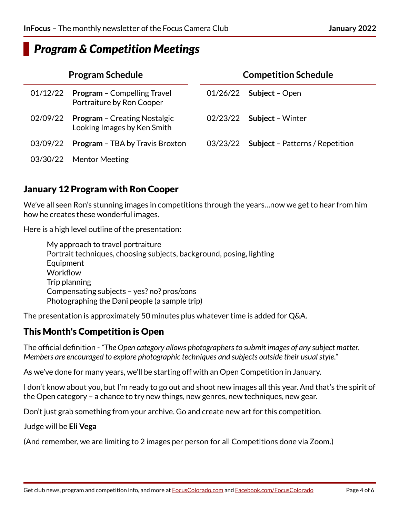### <span id="page-3-0"></span>*Program & Competition Meetings*

| <b>Program Schedule</b> |                                                                    | <b>Competition Schedule</b> |                                        |  |
|-------------------------|--------------------------------------------------------------------|-----------------------------|----------------------------------------|--|
| 01/12/22                | <b>Program - Compelling Travel</b><br>Portraiture by Ron Cooper    |                             | $01/26/22$ Subject – Open              |  |
| 02/09/22                | <b>Program - Creating Nostalgic</b><br>Looking Images by Ken Smith | 02/23/22                    | <b>Subject - Winter</b>                |  |
| 03/09/22                | <b>Program - TBA by Travis Broxton</b>                             | 03/23/22                    | <b>Subject</b> – Patterns / Repetition |  |
| 03/30/22                | <b>Mentor Meeting</b>                                              |                             |                                        |  |

#### January 12 Program with Ron Cooper

We've all seen Ron's stunning images in competitions through the years…now we get to hear from him how he creates these wonderful images.

Here is a high level outline of the presentation:

My approach to travel portraiture Portrait techniques, choosing subjects, background, posing, lighting **Equipment Workflow** Trip planning Compensating subjects – yes? no? pros/cons Photographing the Dani people (a sample trip)

The presentation is approximately 50 minutes plus whatever time is added for Q&A.

#### This Month's Competition is Open

The official definition - *"The Open category allows photographers to submit images of any subject matter. Members are encouraged to explore photographic techniques and subjects outside their usual style."*

As we've done for many years, we'll be starting off with an Open Competition in January.

I don't know about you, but I'm ready to go out and shoot new images all this year. And that's the spirit of the Open category – a chance to try new things, new genres, new techniques, new gear.

Don't just grab something from your archive. Go and create new art for this competition.

Judge will be **Eli Vega**

(And remember, we are limiting to 2 images per person for all Competitions done via Zoom.)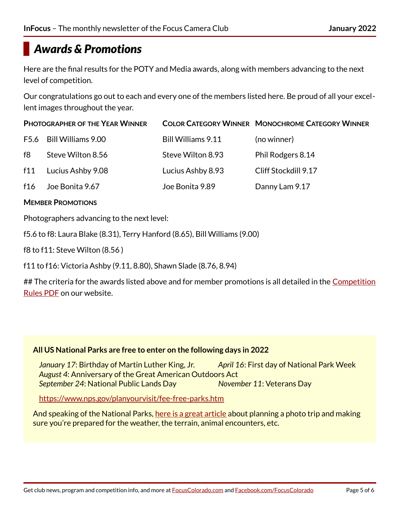## <span id="page-4-0"></span>*Awards & Promotions*

Here are the final results for the POTY and Media awards, along with members advancing to the next level of competition.

Our congratulations go out to each and every one of the members listed here. Be proud of all your excellent images throughout the year.

| <b>PHOTOGRAPHER OF THE YEAR WINNER</b> |                         |                    | <b>COLOR CATEGORY WINNER MONOCHROME CATEGORY WINNER</b> |
|----------------------------------------|-------------------------|--------------------|---------------------------------------------------------|
|                                        | F5.6 Bill Williams 9.00 | Bill Williams 9.11 | (no winner)                                             |
| f8                                     | Steve Wilton 8.56       | Steve Wilton 8.93  | Phil Rodgers 8.14                                       |
| f11                                    | Lucius Ashby 9.08       | Lucius Ashby 8.93  | Cliff Stockdill 9.17                                    |
| f16                                    | Joe Bonita 9.67         | Joe Bonita 9.89    | Danny Lam 9.17                                          |

#### **MEMBER PROMOTIONS**

Photographers advancing to the next level:

f5.6 to f8: Laura Blake (8.31), Terry Hanford (8.65), Bill Williams (9.00)

f8 to f11: Steve Wilton (8.56 )

f11 to f16: Victoria Ashby (9.11, 8.80), Shawn Slade (8.76, 8.94)

## The criteria for the awards listed above and for member promotions is all detailed in the [Competition](https://focuscolorado.com/competitionrulespdf) [Rules PDF](https://focuscolorado.com/competitionrulespdf) on our website.

#### **All US National Parks are free to enter on the following days in 2022**

 *January 17*: Birthday of Martin Luther King, Jr. *April 16*: First day of National Park Week *August 4*: Anniversary of the Great American Outdoors Act *September 24*: National Public Lands Day *November 11*: Veterans Day

<https://www.nps.gov/planyourvisit/fee-free-parks.htm>

And speaking of the National Parks, [here is a great article](https://www.nationalparkstraveler.org/2021/12/photography-national-parks-being-prepared-and-knowing-your-limits) about planning a photo trip and making sure you're prepared for the weather, the terrain, animal encounters, etc.